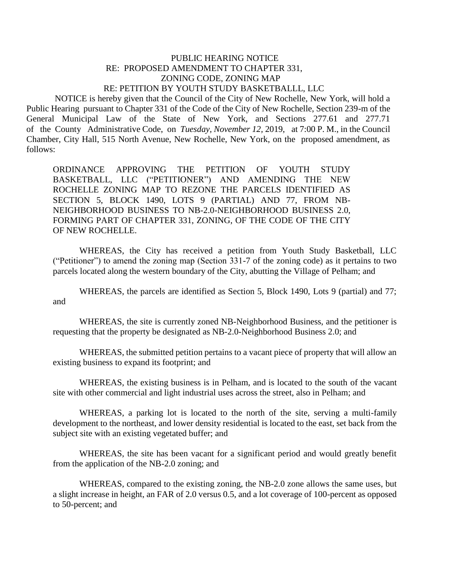## PUBLIC HEARING NOTICE RE: PROPOSED AMENDMENT TO CHAPTER 331, ZONING CODE, ZONING MAP RE: PETITION BY YOUTH STUDY BASKETBALLL, LLC

 NOTICE is hereby given that the Council of the City of New Rochelle, New York, will hold a Public Hearing pursuant to Chapter 331 of the Code of the City of New Rochelle, Section 239-m of the General Municipal Law of the State of New York, and Sections 277.61 and 277.71 of the County Administrative Code, on *Tuesday, November 12,* 2019, at 7:00 P. M., in the Council Chamber, City Hall, 515 North Avenue, New Rochelle, New York, on the proposed amendment, as follows:

ORDINANCE APPROVING THE PETITION OF YOUTH STUDY BASKETBALL, LLC ("PETITIONER") AND AMENDING THE NEW ROCHELLE ZONING MAP TO REZONE THE PARCELS IDENTIFIED AS SECTION 5, BLOCK 1490, LOTS 9 (PARTIAL) AND 77, FROM NB-NEIGHBORHOOD BUSINESS TO NB-2.0-NEIGHBORHOOD BUSINESS 2.0, FORMING PART OF CHAPTER 331, ZONING, OF THE CODE OF THE CITY OF NEW ROCHELLE.

WHEREAS, the City has received a petition from Youth Study Basketball, LLC ("Petitioner") to amend the zoning map (Section 331-7 of the zoning code) as it pertains to two parcels located along the western boundary of the City, abutting the Village of Pelham; and

WHEREAS, the parcels are identified as Section 5, Block 1490, Lots 9 (partial) and 77; and

WHEREAS, the site is currently zoned NB-Neighborhood Business, and the petitioner is requesting that the property be designated as NB-2.0-Neighborhood Business 2.0; and

WHEREAS, the submitted petition pertains to a vacant piece of property that will allow an existing business to expand its footprint; and

WHEREAS, the existing business is in Pelham, and is located to the south of the vacant site with other commercial and light industrial uses across the street, also in Pelham; and

WHEREAS, a parking lot is located to the north of the site, serving a multi-family development to the northeast, and lower density residential is located to the east, set back from the subject site with an existing vegetated buffer; and

WHEREAS, the site has been vacant for a significant period and would greatly benefit from the application of the NB-2.0 zoning; and

WHEREAS, compared to the existing zoning, the NB-2.0 zone allows the same uses, but a slight increase in height, an FAR of 2.0 versus 0.5, and a lot coverage of 100-percent as opposed to 50-percent; and